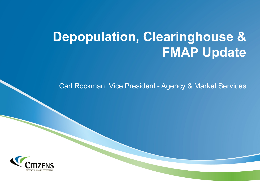# **Depopulation, Clearinghouse & FMAP Update**

Carl Rockman, Vice President - Agency & Market Services

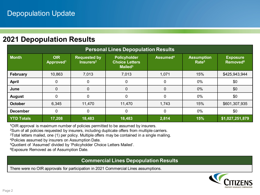### **2021 Depopulation Results**

| <b>Personal Lines Depopulation Results</b> |                                     |                                              |                                                              |                      |                                        |                                               |  |  |  |  |  |
|--------------------------------------------|-------------------------------------|----------------------------------------------|--------------------------------------------------------------|----------------------|----------------------------------------|-----------------------------------------------|--|--|--|--|--|
| <b>Month</b>                               | <b>OIR</b><br>Approved <sup>1</sup> | <b>Requested by</b><br>Insurers <sup>2</sup> | Policyholder<br><b>Choice Letters</b><br>Mailed <sup>3</sup> | Assumed <sup>4</sup> | <b>Assumption</b><br>Rate <sup>5</sup> | <b>Exposure</b><br><b>Removed<sup>6</sup></b> |  |  |  |  |  |
| February                                   | 10,863                              | 7,013                                        | 7,013                                                        | 1,071                | 15%                                    | \$425,943,944                                 |  |  |  |  |  |
| <b>April</b>                               | 0                                   | 0                                            | 0                                                            | 0                    | $0\%$                                  | \$0                                           |  |  |  |  |  |
| June                                       | $\overline{0}$                      | $\mathbf 0$                                  | $\mathbf 0$                                                  | 0                    | 0%                                     | \$0                                           |  |  |  |  |  |
| <b>August</b>                              | $\mathbf{0}$                        | $\mathbf 0$                                  | 0                                                            | 0                    | $0\%$                                  | \$0                                           |  |  |  |  |  |
| <b>October</b>                             | 6,345                               | 11,470                                       | 11,470                                                       | 1,743                | 15%                                    | \$601,307,935                                 |  |  |  |  |  |
| <b>December</b>                            | 0                                   | 0                                            | 0                                                            | 0                    | $0\%$                                  | \$0                                           |  |  |  |  |  |
| <b>YTD Totals</b>                          | 17,208                              | 18,483                                       | 18,483                                                       | 2,814                | 15%                                    | \$1,027,251,879                               |  |  |  |  |  |

**<sup>1</sup>**OIR approval is maximum number of policies permitted to be assumed by insurers.

2Sum of all policies requested by insurers, including duplicate offers from multiple carriers.

<sup>3</sup>Total letters mailed, one (1) per policy. Multiple offers may be contained in a single mailing.

4Policies assumed by insurers on Assumption Date.

5Quotient of 'Assumed' divided by 'Policyholder Choice Letters Mailed'.

6Exposure Removed as of Assumption Date.

#### **Commercial Lines Depopulation Results**

There were no OIR approvals for participation in 2021 Commercial Lines assumptions.

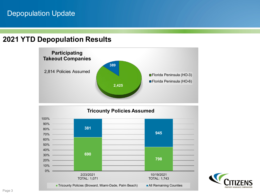# Depopulation Update

#### **2021 YTD Depopulation Results**



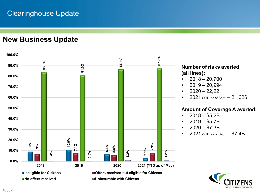# Clearinghouse Update

#### **New Business Update**

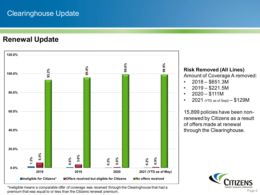# Clearinghouse Update

**Renewal Update**



**Risk Removed (All Lines)** Amount of Coverage A removed:

- $2018 $651.3M$
- $2019 $221.5M$
- $2020 $111M$
- $2021$  (YTD as of Sept)  $-$  \$129M

15,899 policies have been nonrenewed by Citizens as a result of offers made at renewal through the Clearinghouse.



\*Ineligible means a comparable offer of coverage was received through the Clearinghouse that had a premium that was equal to or less than the Citizens renewal premium.